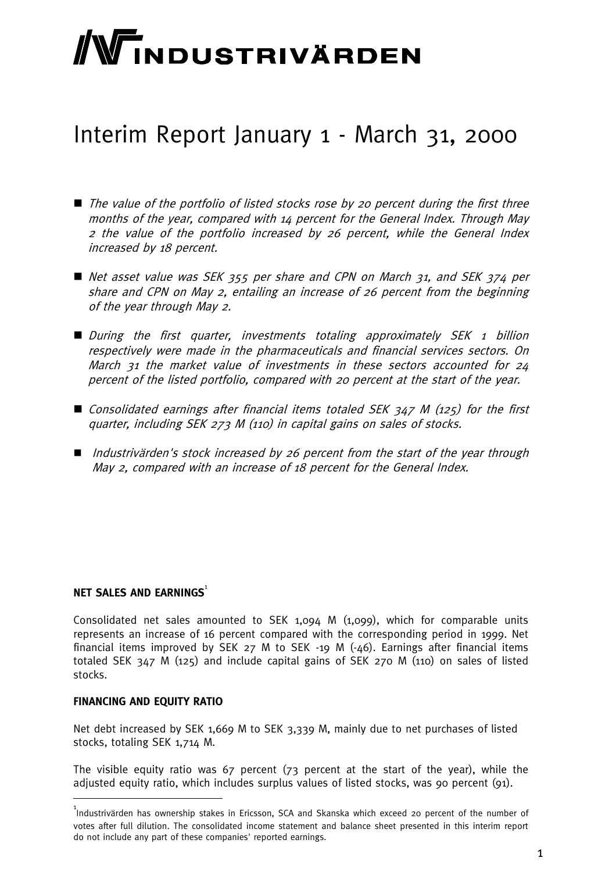# WINDUSTRIVÄRDEN

# Interim Report January 1 - March 31, 2000

- The value of the portfolio of listed stocks rose by 20 percent during the first three months of the year, compared with 14 percent for the General Index. Through May 2 the value of the portfolio increased by 26 percent, while the General Index increased by 18 percent.
- Net asset value was SEK 355 per share and CPN on March 31, and SEK 374 per share and CPN on May 2, entailing an increase of 26 percent from the beginning of the year through May 2.
- During the first quarter, investments totaling approximately SEK 1 billion respectively were made in the pharmaceuticals and financial services sectors. On March 31 the market value of investments in these sectors accounted for 24 percent of the listed portfolio, compared with 20 percent at the start of the year.
- $\blacksquare$  Consolidated earnings after financial items totaled SEK 347 M (125) for the first quarter, including SEK 273 M (110) in capital gains on sales of stocks.
- $\blacksquare$  Industrivärden's stock increased by 26 percent from the start of the year through May 2, compared with an increase of 18 percent for the General Index.

#### **NET SALES AND EARNINGS<sup>1</sup>**

Consolidated net sales amounted to SEK 1,094 M (1,099), which for comparable units represents an increase of 16 percent compared with the corresponding period in 1999. Net financial items improved by SEK  $27$  M to SEK -19 M  $(-46)$ . Earnings after financial items totaled SEK 347 M (125) and include capital gains of SEK 270 M (110) on sales of listed stocks.

#### **FINANCING AND EQUITY RATIO**

Net debt increased by SEK 1,669 M to SEK 3,339 M, mainly due to net purchases of listed stocks, totaling SEK 1,714 M.

The visible equity ratio was 67 percent (73 percent at the start of the year), while the adjusted equity ratio, which includes surplus values of listed stocks, was 90 percent (91).

<sup>&</sup>lt;sup>1</sup><br>Industrivärden has ownership stakes in Ericsson, SCA and Skanska which exceed 20 percent of the number of votes after full dilution. The consolidated income statement and balance sheet presented in this interim report do not include any part of these companies' reported earnings.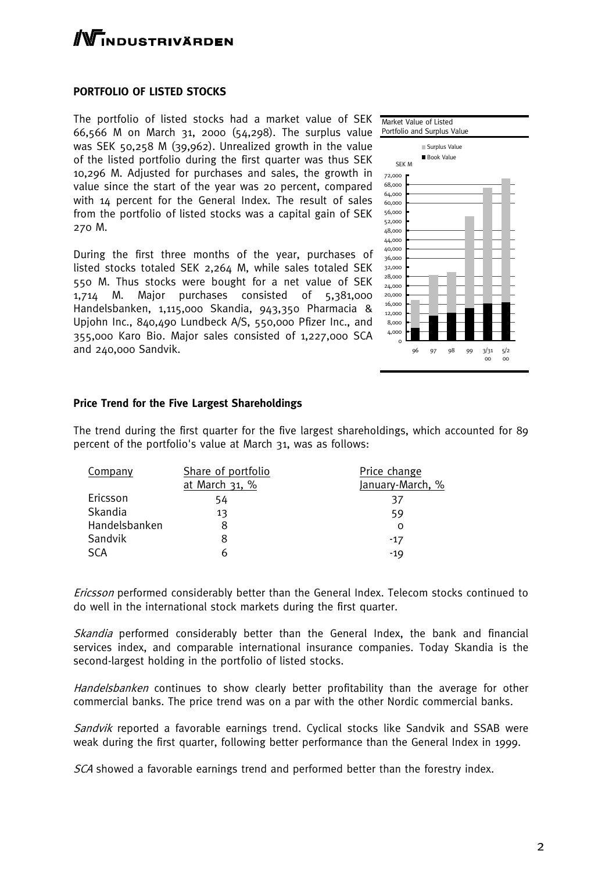# **TNDUSTRIVÄRDEN**

#### **PORTFOLIO OF LISTED STOCKS**

The portfolio of listed stocks had a market value of SEK TNarket Value of Listed 66,566 M on March 31, 2000 (54,298). The surplus value Portfolio and Surplus Value was SEK 50,258 M (39,962). Unrealized growth in the value of the listed portfolio during the first quarter was thus SEK 10,296 M. Adjusted for purchases and sales, the growth in value since the start of the year was 20 percent, compared with 14 percent for the General Index. The result of sales from the portfolio of listed stocks was a capital gain of SEK 270 M.

During the first three months of the year, purchases of listed stocks totaled SEK 2,264 M, while sales totaled SEK 550 M. Thus stocks were bought for a net value of SEK 1,714 M. Major purchases consisted of 5,381,000 Handelsbanken, 1,115,000 Skandia, 943,350 Pharmacia & Upjohn Inc., 840,490 Lundbeck A/S, 550,000 Pfizer Inc., and 355,000 Karo Bio. Major sales consisted of 1,227,000 SCA and 240,000 Sandvik.



#### **Price Trend for the Five Largest Shareholdings**

The trend during the first quarter for the five largest shareholdings, which accounted for 89 percent of the portfolio's value at March 31, was as follows:

| Company       | Share of portfolio | Price change     |
|---------------|--------------------|------------------|
|               | at March 31, %     | January-March, % |
| Ericsson      | 54                 | 37               |
| Skandia       | 13                 | 59               |
| Handelsbanken |                    |                  |
| Sandvik       |                    | $-17$            |
| <b>SCA</b>    |                    | $-19$            |

Ericsson performed considerably better than the General Index. Telecom stocks continued to do well in the international stock markets during the first quarter.

Skandia performed considerably better than the General Index, the bank and financial services index, and comparable international insurance companies. Today Skandia is the second-largest holding in the portfolio of listed stocks.

Handelsbanken continues to show clearly better profitability than the average for other commercial banks. The price trend was on a par with the other Nordic commercial banks.

Sandvik reported a favorable earnings trend. Cyclical stocks like Sandvik and SSAB were weak during the first quarter, following better performance than the General Index in 1999.

SCA showed a favorable earnings trend and performed better than the forestry index.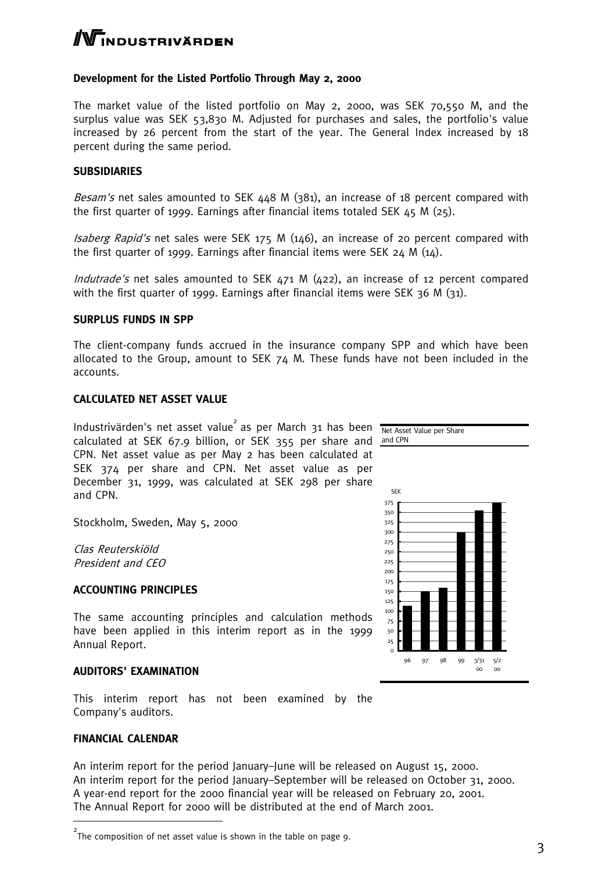# $\Gamma$ NDUSTRIVÄRDEN

#### **Development for the Listed Portfolio Through May 2, 2000**

The market value of the listed portfolio on May 2, 2000, was SEK 70,550 M, and the surplus value was SEK 53,830 M. Adjusted for purchases and sales, the portfolio's value increased by 26 percent from the start of the year. The General Index increased by 18 percent during the same period.

#### **SUBSIDIARIES**

Besam's net sales amounted to SEK 448 M (381), an increase of 18 percent compared with the first quarter of 1999. Earnings after financial items totaled SEK  $45 M (25)$ .

Isaberg Rapid's net sales were SEK 175 M (146), an increase of 20 percent compared with the first quarter of 1999. Earnings after financial items were SEK  $24 \text{ M } (14)$ .

Indutrade's net sales amounted to SEK 471 M (422), an increase of 12 percent compared with the first quarter of 1999. Earnings after financial items were SEK 36 M (31).

#### **SURPLUS FUNDS IN SPP**

The client-company funds accrued in the insurance company SPP and which have been allocated to the Group, amount to SEK  $74$  M. These funds have not been included in the accounts.

#### **CALCULATED NET ASSET VALUE**

Industrivärden's net asset value<sup>2</sup> as per March 31 has been Net Asset Value per Share calculated at SEK 67.9 billion, or SEK 355 per share and and CPN CPN. Net asset value as per May 2 has been calculated at SEK 374 per share and CPN. Net asset value as per December 31, 1999, was calculated at SEK 298 per share and CPN.

Stockholm, Sweden, May 5, 2000

Clas Reuterskiöld President and CEO

#### **ACCOUNTING PRINCIPLES**

The same accounting principles and calculation methods have been applied in this interim report as in the 1999 Annual Report.

#### **AUDITORS' EXAMINATION**

This interim report has not been examined by the Company's auditors.

#### **FINANCIAL CALENDAR**

An interim report for the period January–June will be released on August 15, 2000. An interim report for the period January–September will be released on October 31, 2000. A year-end report for the 2000 financial year will be released on February 20, 2001. The Annual Report for 2000 will be distributed at the end of March 2001.



 $2$ The composition of net asset value is shown in the table on page 9.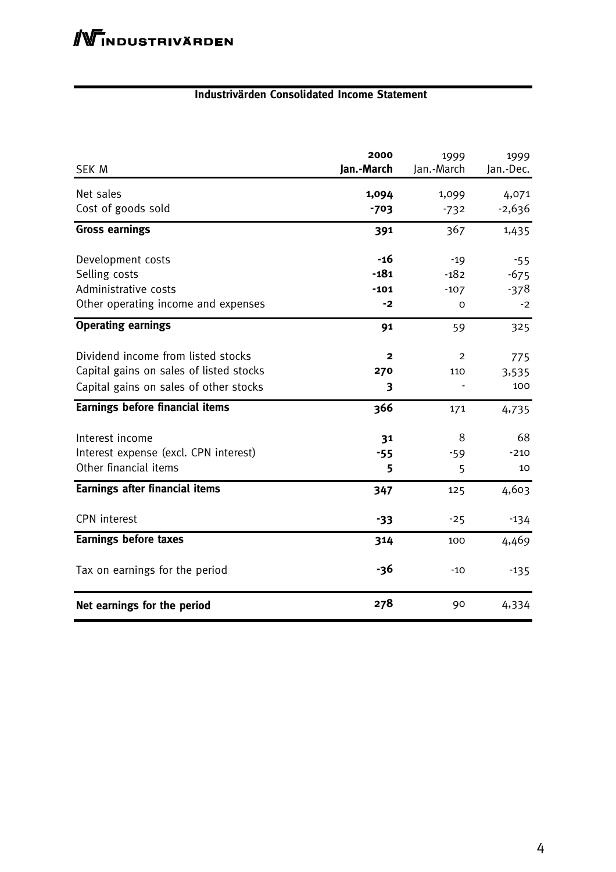#### **Industrivärden Consolidated Income Statement**

| SEK M                                   | 2000<br>Jan.-March | 1999<br>Jan.-March | 1999<br>Jan.-Dec. |
|-----------------------------------------|--------------------|--------------------|-------------------|
| Net sales                               | 1,094              | 1,099              | 4,071             |
| Cost of goods sold                      | $-703$             | $-732$             | $-2,636$          |
| <b>Gross earnings</b>                   | 391                | 367                | 1,435             |
| Development costs                       | -16                | $-19$              | $-55$             |
| Selling costs                           | $-181$             | $-182$             | $-675$            |
| Administrative costs                    | $-101$             | $-107$             | $-378$            |
| Other operating income and expenses     | -2                 | 0                  | $-2$              |
| <b>Operating earnings</b>               | 91                 | 59                 | 325               |
| Dividend income from listed stocks      | $\mathbf{2}$       | 2                  | 775               |
| Capital gains on sales of listed stocks | 270                | 110                | 3,535             |
| Capital gains on sales of other stocks  | 3                  |                    | 100               |
| <b>Earnings before financial items</b>  | 366                | 171                | 4,735             |
| Interest income                         | 31                 | 8                  | 68                |
| Interest expense (excl. CPN interest)   | $-55$              | $-59$              | $-210$            |
| Other financial items                   | 5                  | 5                  | 10                |
| <b>Earnings after financial items</b>   | 347                | 125                | 4,603             |
| <b>CPN</b> interest                     | $-33$              | $-25$              | $-134$            |
| <b>Earnings before taxes</b>            | 314                | 100                | 4,469             |
| Tax on earnings for the period          | -36                | $-10$              | $-135$            |
| Net earnings for the period             | 278                | 90                 | 4,334             |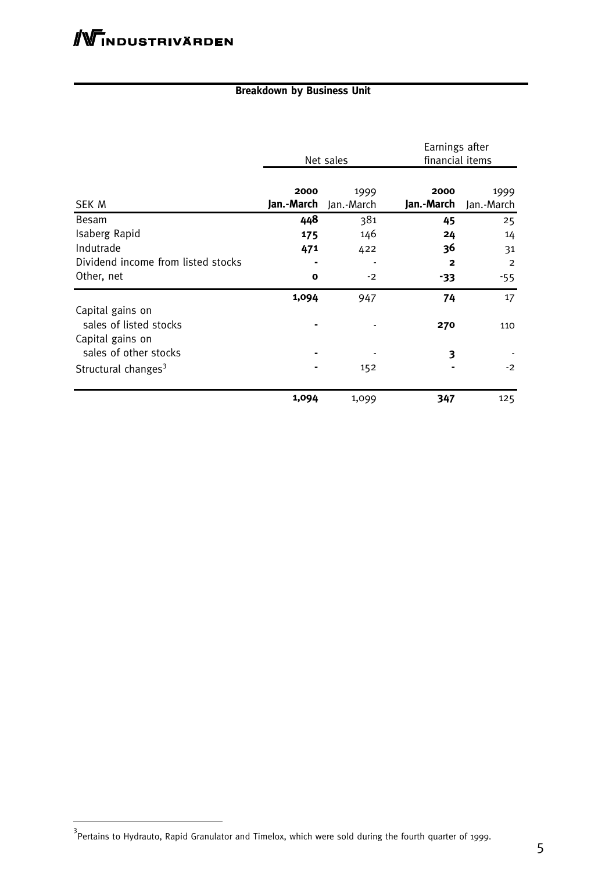## **Breakdown by Business Unit**

|                                                                | Net sales          |                    | Earnings after<br>financial items |                    |
|----------------------------------------------------------------|--------------------|--------------------|-----------------------------------|--------------------|
| SEK M                                                          | 2000<br>Jan.-March | 1999<br>Jan.-March | 2000<br>Jan.-March                | 1999<br>Jan.-March |
| Besam                                                          | 448                | 381                | 45                                | 25                 |
| Isaberg Rapid                                                  | 175                | 146                | 24                                | 14                 |
| Indutrade                                                      | 471                | 422                | 36                                | 31                 |
| Dividend income from listed stocks                             |                    |                    | $\mathbf{2}$                      | $\overline{2}$     |
| Other, net                                                     | $\mathbf o$        | $-2$               | -33                               | -55                |
|                                                                | 1,094              | 947                | 74                                | 17                 |
| Capital gains on<br>sales of listed stocks<br>Capital gains on |                    |                    | 270                               | 110                |
| sales of other stocks                                          |                    |                    | 3                                 |                    |
| Structural changes <sup>3</sup>                                |                    | 152                |                                   | $-2$               |
|                                                                | 1,094              | 1,099              | 347                               | 125                |

 $^3$ Pertains to Hydrauto, Rapid Granulator and Timelox, which were sold during the fourth quarter of 1999.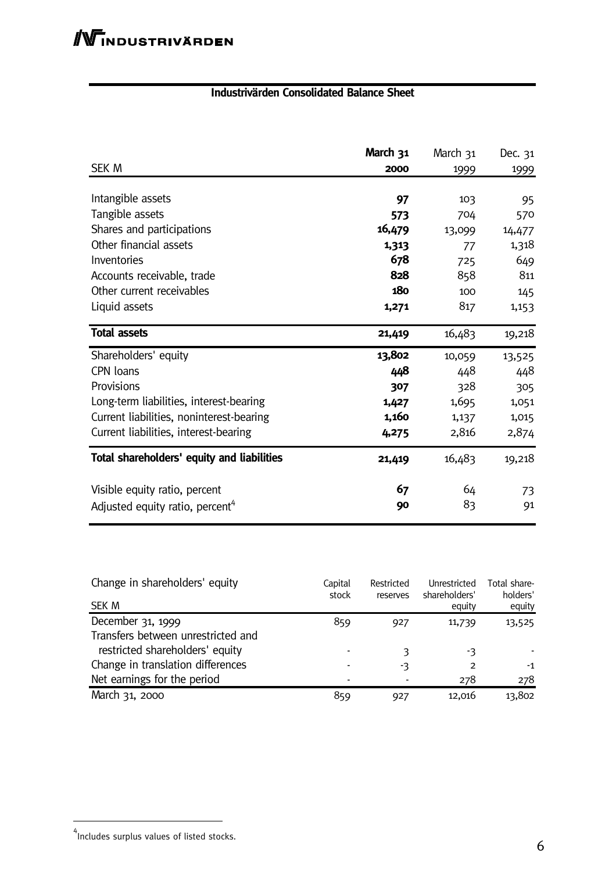### **Industrivärden Consolidated Balance Sheet**

|                                             | March 31 | March 31 | Dec. 31 |
|---------------------------------------------|----------|----------|---------|
| <b>SEK M</b>                                | 2000     | 1999     | 1999    |
| Intangible assets                           | 97       | 103      | 95      |
| Tangible assets                             | 573      | 704      | 570     |
| Shares and participations                   | 16,479   | 13,099   | 14,477  |
| Other financial assets                      | 1,313    | 77       | 1,318   |
| Inventories                                 | 678      | 725      | 649     |
| Accounts receivable, trade                  | 828      | 858      | 811     |
| Other current receivables                   | 180      | 100      | 145     |
| Liquid assets                               | 1,271    | 817      | 1,153   |
| <b>Total assets</b>                         | 21,419   | 16,483   | 19,218  |
| Shareholders' equity                        | 13,802   | 10,059   | 13,525  |
| CPN loans                                   | 448      | 448      | 448     |
| Provisions                                  | 307      | 328      | 305     |
| Long-term liabilities, interest-bearing     | 1,427    | 1,695    | 1,051   |
| Current liabilities, noninterest-bearing    | 1,160    | 1,137    | 1,015   |
| Current liabilities, interest-bearing       | 4,275    | 2,816    | 2,874   |
| Total shareholders' equity and liabilities  | 21,419   | 16,483   | 19,218  |
| Visible equity ratio, percent               | 67       | 64       | 73      |
| Adjusted equity ratio, percent <sup>4</sup> | 90       | 83       | 91      |

| Change in shareholders' equity     | Capital<br>stock | Restricted<br>reserves | Unrestricted<br>shareholders' | Total share-<br>holders' |
|------------------------------------|------------------|------------------------|-------------------------------|--------------------------|
| SEK M                              |                  |                        | equity                        | equity                   |
| December 31, 1999                  | 859              | 927                    | 11,739                        | 13,525                   |
| Transfers between unrestricted and |                  |                        |                               |                          |
| restricted shareholders' equity    |                  | 3                      | -3                            |                          |
| Change in translation differences  |                  | -3                     | 2                             | -1                       |
| Net earnings for the period        |                  |                        | 278                           | 278                      |
| March 31, 2000                     | 859              | 927                    | 12,016                        | 13,802                   |

<sup>4&</sup>lt;br>Includes surplus values of listed stocks.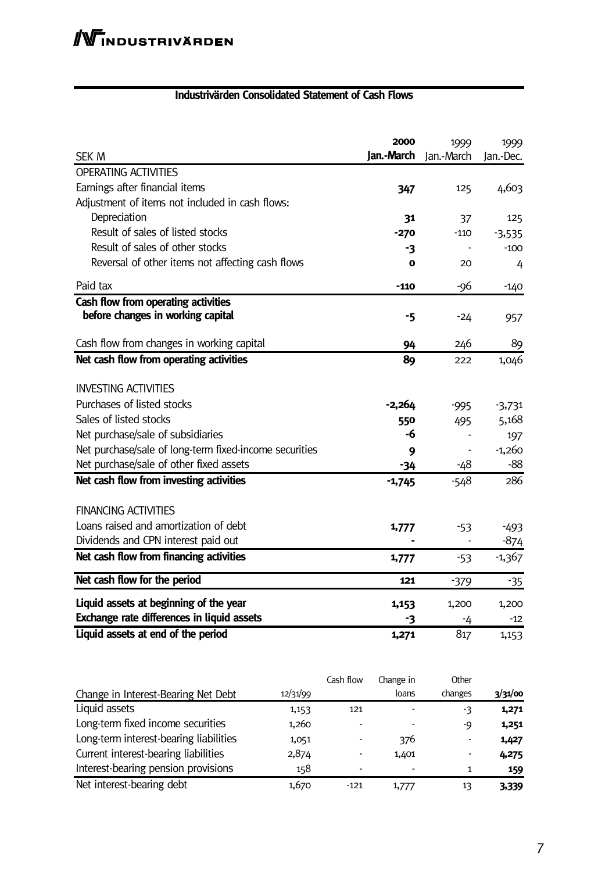### **Industrivärden Consolidated Statement of Cash Flows**

| <b>SEK M</b>                                           | 2000<br>Jan.-March | 1999<br>Jan.-March | 1999<br>Jan.-Dec. |
|--------------------------------------------------------|--------------------|--------------------|-------------------|
| <b>OPERATING ACTIVITIES</b>                            |                    |                    |                   |
| Earnings after financial items                         | 347                | 125                | 4,603             |
| Adjustment of items not included in cash flows:        |                    |                    |                   |
| Depreciation                                           | 31                 | 37                 | 125               |
| Result of sales of listed stocks                       | $-270$             | $-110$             | $-3,535$          |
| Result of sales of other stocks                        | -3                 |                    | $-100$            |
| Reversal of other items not affecting cash flows       | 0                  | 20                 | 4                 |
| Paid tax                                               | $-110$             | -96                | $-140$            |
| Cash flow from operating activities                    |                    |                    |                   |
| before changes in working capital                      | -5                 | -24                | 957               |
| Cash flow from changes in working capital              | 94                 | 246                | 89                |
| Net cash flow from operating activities                | 89                 | 222                | 1,046             |
| <b>INVESTING ACTIVITIES</b>                            |                    |                    |                   |
| Purchases of listed stocks                             | -2,264             | $-995$             | $-3,731$          |
| Sales of listed stocks                                 | 550                | 495                | 5,168             |
| Net purchase/sale of subsidiaries                      | -6                 |                    | 197               |
| Net purchase/sale of long-term fixed-income securities | 9                  |                    | $-1,260$          |
| Net purchase/sale of other fixed assets                | $-34$              | -48                | $-88$             |
| Net cash flow from investing activities                | $-1,745$           | $-548$             | 286               |
| <b>FINANCING ACTIVITIES</b>                            |                    |                    |                   |
| Loans raised and amortization of debt                  | 1,777              | $-53$              | $-493$            |
| Dividends and CPN interest paid out                    |                    |                    | $-874$            |
| Net cash flow from financing activities                | 1,777              | $-53$              | $-1,367$          |
| Net cash flow for the period                           | 121                | $-379$             | $-35$             |
| Liquid assets at beginning of the year                 | 1,153              | 1,200              | 1,200             |
| Exchange rate differences in liquid assets             | -3                 | -4                 | $-12$             |
| Liquid assets at end of the period                     | 1,271              | 817                | 1,153             |

|                                        |          | Cash flow                | Change in | Other   |         |
|----------------------------------------|----------|--------------------------|-----------|---------|---------|
| Change in Interest-Bearing Net Debt    | 12/31/99 |                          | loans     | changes | 3/31/00 |
| Liquid assets                          | 1,153    | 121                      |           | -3      | 1,271   |
| Long-term fixed income securities      | 1,260    | $\overline{\phantom{0}}$ |           | -Q      | 1,251   |
| Long-term interest-bearing liabilities | 1,051    |                          | 376       | -       | 1,427   |
| Current interest-bearing liabilities   | 2,874    |                          | 1,401     | ۰       | 4,275   |
| Interest-bearing pension provisions    | 158      | $\overline{\phantom{0}}$ |           |         | 159     |
| Net interest-bearing debt              | 1,670    | $-121$                   | 1,777     | 13      | 3,339   |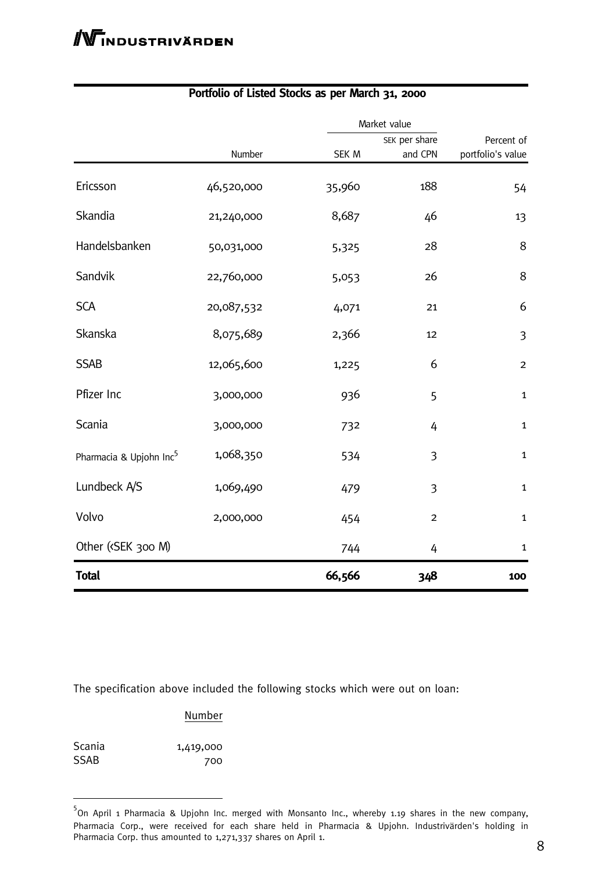|                                                                                                        |            |        | Market value  |                   |  |
|--------------------------------------------------------------------------------------------------------|------------|--------|---------------|-------------------|--|
|                                                                                                        |            |        | SEK per share | Percent of        |  |
|                                                                                                        | Number     | SEK M  | and CPN       | portfolio's value |  |
| Ericsson                                                                                               | 46,520,000 | 35,960 | 188           | 54                |  |
| Skandia                                                                                                | 21,240,000 | 8,687  | 46            | 13                |  |
| Handelsbanken                                                                                          | 50,031,000 | 5,325  | 28            | 8                 |  |
| Sandvik                                                                                                | 22,760,000 | 5,053  | 26            | 8                 |  |
| <b>SCA</b>                                                                                             | 20,087,532 | 4,071  | 21            | 6                 |  |
| Skanska                                                                                                | 8,075,689  | 2,366  | 12            | $\mathfrak{Z}$    |  |
| <b>SSAB</b>                                                                                            | 12,065,600 | 1,225  | 6             | $\overline{2}$    |  |
| Pfizer Inc                                                                                             | 3,000,000  | 936    | 5             | $\mathbf{1}$      |  |
| Scania                                                                                                 | 3,000,000  | 732    | 4             | $\mathbf{1}$      |  |
| Pharmacia & Upjohn Inc <sup>5</sup>                                                                    | 1,068,350  | 534    | 3             | $\mathbf{1}$      |  |
| Lundbeck A/S                                                                                           | 1,069,490  | 479    | 3             | $\mathbf{1}$      |  |
| Volvo                                                                                                  | 2,000,000  | 454    | $\mathbf 2$   | $\mathbf{1}$      |  |
| Other ( <sek 300="" m)<="" td=""><td></td><td>744</td><td>4</td><td><math>\mathbf{1}</math></td></sek> |            | 744    | 4             | $\mathbf{1}$      |  |
| <b>Total</b>                                                                                           |            | 66,566 | 348           | 100               |  |

### **Portfolio of Listed Stocks as per March 31, 2000**

The specification above included the following stocks which were out on loan:

#### **Number**

| Scania | 1,419,000 |
|--------|-----------|
| SSAB   | 700       |

<sup>&</sup>lt;sup>5</sup> On April 1 Pharmacia & Upjohn Inc. merged with Monsanto Inc., whereby 1.19 shares in the new company, Pharmacia Corp., were received for each share held in Pharmacia & Upjohn. Industrivärden's holding in Pharmacia Corp. thus amounted to 1,271,337 shares on April 1.